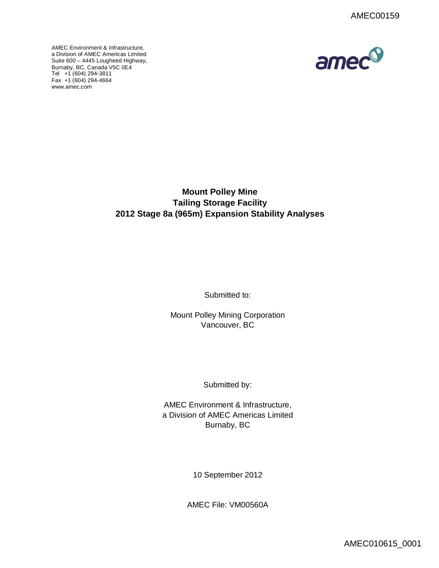AMEC Environment & Infrastructure, a Division of AMEC Americas Limited Suite 600 – 4445 Lougheed Highway, [Burnaby, BC, Ca](http://www.amec.com)nada V5C 0E4 Tel +1 (604) 294-3811 Fax  $+1$  (604) 294-4664 www.amec.com



**Mount Polley Mine Tailing Storage Facility 2012 Stage 8a (965m) Expansion Stability Analyses** 

Submitted to:

Mount Polley Mining Corporation Vancouver, BC

Submitted by:

AMEC Environment & Infrastructure, a Division of AMEC Americas Limited Burnaby, BC

10 September 2012

AMEC File: VM00560A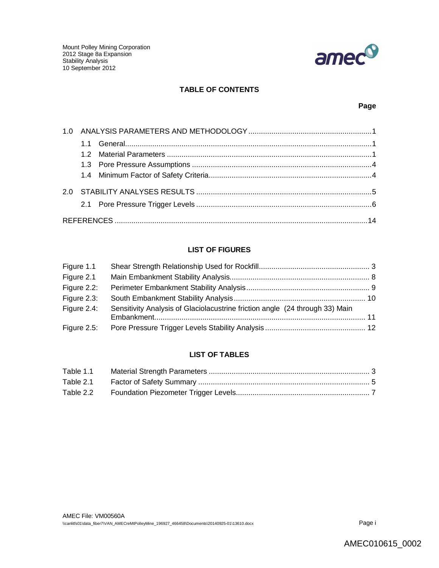

## **TABLE OF CONTENTS**

## **Page**

# **LIST OF FIGURES**

| Figure 1.1     |                                                                              |  |
|----------------|------------------------------------------------------------------------------|--|
| Figure 2.1     |                                                                              |  |
| Figure 2.2:    |                                                                              |  |
| Figure 2.3:    |                                                                              |  |
| Figure 2.4:    | Sensitivity Analysis of Glaciolacustrine friction angle (24 through 33) Main |  |
| Figure $2.5$ : |                                                                              |  |

## **LIST OF TABLES**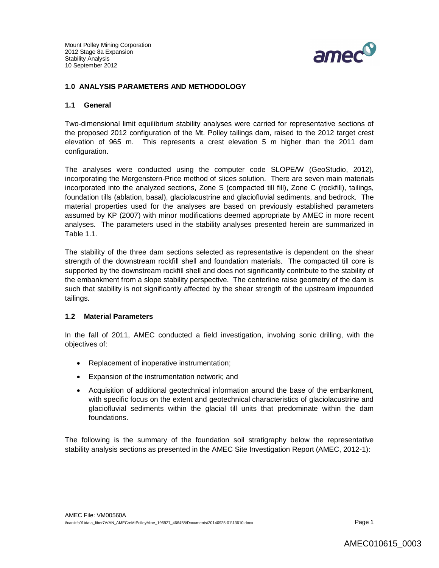

### **1.0 ANALYSIS PARAMETERS AND METHODOLOGY**

### **1.1 General**

Two-dimensional limit equilibrium stability analyses were carried for representative sections of the proposed 2012 configuration of the Mt. Polley tailings dam, raised to the 2012 target crest elevation of 965 m. This represents a crest elevation 5 m higher than the 2011 dam configuration.

The analyses were conducted using the computer code SLOPE/W (GeoStudio, 2012), incorporating the Morgenstern-Price method of slices solution. There are seven main materials incorporated into the analyzed sections, Zone S (compacted till fill), Zone C (rockfill), tailings, foundation tills (ablation, basal), glaciolacustrine and glaciofluvial sediments, and bedrock. The material properties used for the analyses are based on previously established parameters assumed by KP (2007) with minor modifications deemed appropriate by AMEC in more recent analyses. The parameters used in the stability analyses presented herein are summarized in Table 1.1.

The stability of the three dam sections selected as representative is dependent on the shear strength of the downstream rockfill shell and foundation materials. The compacted till core is supported by the downstream rockfill shell and does not significantly contribute to the stability of the embankment from a slope stability perspective. The centerline raise geometry of the dam is such that stability is not significantly affected by the shear strength of the upstream impounded tailings.

### **1.2 Material Parameters**

In the fall of 2011, AMEC conducted a field investigation, involving sonic drilling, with the objectives of:

- Replacement of inoperative instrumentation;
- Expansion of the instrumentation network; and
- Acquisition of additional geotechnical information around the base of the embankment, with specific focus on the extent and geotechnical characteristics of glaciolacustrine and glaciofluvial sediments within the glacial till units that predominate within the dam foundations.

The following is the summary of the foundation soil stratigraphy below the representative stability analysis sections as presented in the AMEC Site Investigation Report (AMEC, 2012-1):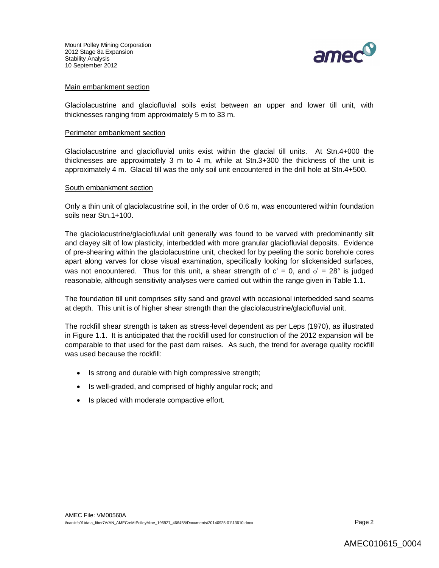

### Main embankment section

Glaciolacustrine and glaciofluvial soils exist between an upper and lower till unit, with thicknesses ranging from approximately 5 m to 33 m.

#### Perimeter embankment section

Glaciolacustrine and glaciofluvial units exist within the glacial till units. At Stn.4+000 the thicknesses are approximately 3 m to 4 m, while at Stn.3+300 the thickness of the unit is approximately 4 m. Glacial till was the only soil unit encountered in the drill hole at Stn.4+500.

#### South embankment section

Only a thin unit of glaciolacustrine soil, in the order of 0.6 m, was encountered within foundation soils near Stn.1+100.

The glaciolacustrine/glaciofluvial unit generally was found to be varved with predominantly silt and clayey silt of low plasticity, interbedded with more granular glaciofluvial deposits. Evidence of pre-shearing within the glaciolacustrine unit, checked for by peeling the sonic borehole cores apart along varves for close visual examination, specifically looking for slickensided surfaces, was not encountered. Thus for this unit, a shear strength of  $c' = 0$ , and  $\phi' = 28^\circ$  is judged reasonable, although sensitivity analyses were carried out within the range given in Table 1.1.

The foundation till unit comprises silty sand and gravel with occasional interbedded sand seams at depth. This unit is of higher shear strength than the glaciolacustrine/glaciofluvial unit.

The rockfill shear strength is taken as stress-level dependent as per Leps (1970), as illustrated in Figure 1.1. It is anticipated that the rockfill used for construction of the 2012 expansion will be comparable to that used for the past dam raises. As such, the trend for average quality rockfill was used because the rockfill:

- Is strong and durable with high compressive strength;
- Is well-graded, and comprised of highly angular rock; and
- Is placed with moderate compactive effort.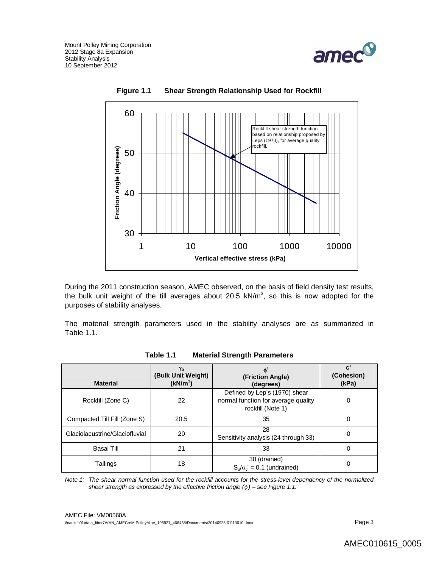





During the 2011 construction season, AMEC observed, on the basis of field density test results, the bulk unit weight of the till averages about 20.5  $kN/m<sup>3</sup>$ , so this is now adopted for the purposes of stability analyses.

The material strength parameters used in the stability analyses are as summarized in Table 1.1.

| <b>Material</b>                | Yь<br>(Bulk Unit Weight)<br>(kN/m <sup>3</sup> ) | (Friction Angle)<br>(degrees)                                                             | $\mathbf{c}^{\prime}$<br>(Cohesion)<br>(kPa) |
|--------------------------------|--------------------------------------------------|-------------------------------------------------------------------------------------------|----------------------------------------------|
| Rockfill (Zone C)              | 22                                               | Defined by Lep's (1970) shear<br>normal function for average quality<br>rockfill (Note 1) | 0                                            |
| Compacted Till Fill (Zone S)   | 20.5                                             | 35                                                                                        | 0                                            |
| Glaciolacustrine/Glaciofluvial | 20                                               | 28<br>Sensitivity analysis (24 through 33)                                                | 0                                            |
| Basal Till                     | 21                                               | 33                                                                                        | 0                                            |
| Tailings                       | 18                                               | 30 (drained)<br>$S_{\nu}/\sigma_{\nu} = 0.1$ (undrained)                                  | 0                                            |

*Note 1: The shear normal function used for the rockfill accounts for the stress-level dependency of the normalized shear strength as expressed by the effective friction angle (') – see Figure 1.1.*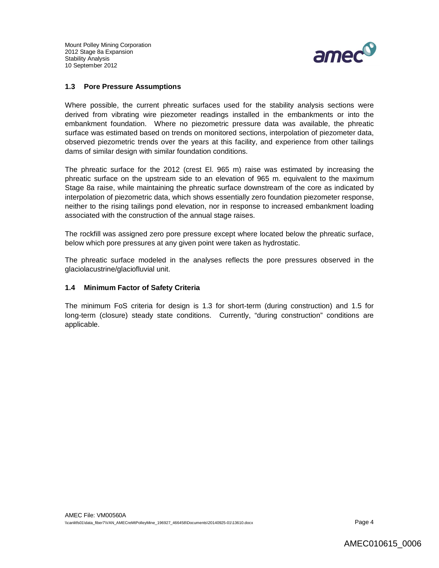

### **1.3 Pore Pressure Assumptions**

Where possible, the current phreatic surfaces used for the stability analysis sections were derived from vibrating wire piezometer readings installed in the embankments or into the embankment foundation. Where no piezometric pressure data was available, the phreatic surface was estimated based on trends on monitored sections, interpolation of piezometer data, observed piezometric trends over the years at this facility, and experience from other tailings dams of similar design with similar foundation conditions.

The phreatic surface for the 2012 (crest El. 965 m) raise was estimated by increasing the phreatic surface on the upstream side to an elevation of 965 m. equivalent to the maximum Stage 8a raise, while maintaining the phreatic surface downstream of the core as indicated by interpolation of piezometric data, which shows essentially zero foundation piezometer response, neither to the rising tailings pond elevation, nor in response to increased embankment loading associated with the construction of the annual stage raises.

The rockfill was assigned zero pore pressure except where located below the phreatic surface, below which pore pressures at any given point were taken as hydrostatic.

The phreatic surface modeled in the analyses reflects the pore pressures observed in the glaciolacustrine/glaciofluvial unit.

### **1.4 Minimum Factor of Safety Criteria**

The minimum FoS criteria for design is 1.3 for short-term (during construction) and 1.5 for long-term (closure) steady state conditions. Currently, "during construction" conditions are applicable.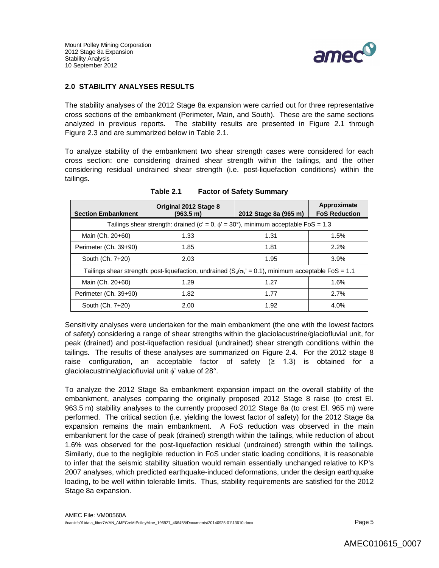

## **2.0 STABILITY ANALYSES RESULTS**

The stability analyses of the 2012 Stage 8a expansion were carried out for three representative cross sections of the embankment (Perimeter, Main, and South). These are the same sections analyzed in previous reports. The stability results are presented in Figure 2.1 through Figure 2.3 and are summarized below in Table 2.1.

To analyze stability of the embankment two shear strength cases were considered for each cross section: one considering drained shear strength within the tailings, and the other considering residual undrained shear strength (i.e. post-liquefaction conditions) within the tailings.

| <b>Section Embankment</b>                                                                                    | Original 2012 Stage 8<br>(963.5 m) | 2012 Stage 8a (965 m) | Approximate<br><b>FoS Reduction</b> |
|--------------------------------------------------------------------------------------------------------------|------------------------------------|-----------------------|-------------------------------------|
| Tailings shear strength: drained (c' = 0, $\phi$ ' = 30°), minimum acceptable FoS = 1.3                      |                                    |                       |                                     |
| Main (Ch. 20+60)                                                                                             | 1.33                               | 1.31                  | 1.5%                                |
| Perimeter (Ch. 39+90)                                                                                        | 1.85                               | 1.81                  | 2.2%                                |
| South (Ch. 7+20)                                                                                             | 2.03                               | 1.95                  | 3.9%                                |
| Tailings shear strength: post-liquefaction, undrained $(S_v/\sigma_v' = 0.1)$ , minimum acceptable FoS = 1.1 |                                    |                       |                                     |
| Main (Ch. 20+60)                                                                                             | 1.29                               | 1.27                  | 1.6%                                |
| Perimeter (Ch. 39+90)                                                                                        | 1.82                               | 1.77                  | 2.7%                                |
| South (Ch. 7+20)                                                                                             | 2.00                               | 1.92                  | 4.0%                                |

**Table 2.1 Factor of Safety Summary**

Sensitivity analyses were undertaken for the main embankment (the one with the lowest factors of safety) considering a range of shear strengths within the glaciolacustrine/glaciofluvial unit, for peak (drained) and post-liquefaction residual (undrained) shear strength conditions within the tailings. The results of these analyses are summarized on Figure 2.4. For the 2012 stage 8 raise configuration, an acceptable factor of safety  $(≥ 1.3)$  is obtained for a glaciolacustrine/glaciofluvial unit  $\phi'$  value of 28°.

To analyze the 2012 Stage 8a embankment expansion impact on the overall stability of the embankment, analyses comparing the originally proposed 2012 Stage 8 raise (to crest El. 963.5 m) stability analyses to the currently proposed 2012 Stage 8a (to crest El. 965 m) were performed. The critical section (i.e. yielding the lowest factor of safety) for the 2012 Stage 8a expansion remains the main embankment. A FoS reduction was observed in the main embankment for the case of peak (drained) strength within the tailings, while reduction of about 1.6% was observed for the post-liquefaction residual (undrained) strength within the tailings. Similarly, due to the negligible reduction in FoS under static loading conditions, it is reasonable to infer that the seismic stability situation would remain essentially unchanged relative to KP's 2007 analyses, which predicted earthquake-induced deformations, under the design earthquake loading, to be well within tolerable limits. Thus, stability requirements are satisfied for the 2012 Stage 8a expansion.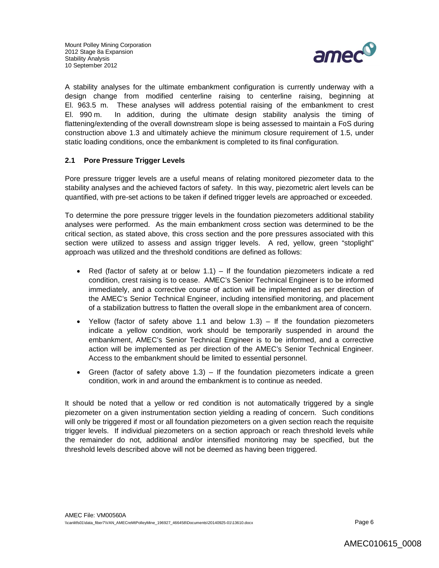

A stability analyses for the ultimate embankment configuration is currently underway with a design change from modified centerline raising to centerline raising, beginning at El. 963.5 m. These analyses will address potential raising of the embankment to crest El. 990 m. In addition, during the ultimate design stability analysis the timing of flattening/extending of the overall downstream slope is being assessed to maintain a FoS during construction above 1.3 and ultimately achieve the minimum closure requirement of 1.5, under static loading conditions, once the embankment is completed to its final configuration.

## **2.1 Pore Pressure Trigger Levels**

Pore pressure trigger levels are a useful means of relating monitored piezometer data to the stability analyses and the achieved factors of safety. In this way, piezometric alert levels can be quantified, with pre-set actions to be taken if defined trigger levels are approached or exceeded.

To determine the pore pressure trigger levels in the foundation piezometers additional stability analyses were performed. As the main embankment cross section was determined to be the critical section, as stated above, this cross section and the pore pressures associated with this section were utilized to assess and assign trigger levels. A red, yellow, green "stoplight" approach was utilized and the threshold conditions are defined as follows:

- Red (factor of safety at or below  $1.1$ ) If the foundation piezometers indicate a red condition, crest raising is to cease. AMEC's Senior Technical Engineer is to be informed immediately, and a corrective course of action will be implemented as per direction of the AMEC's Senior Technical Engineer, including intensified monitoring, and placement of a stabilization buttress to flatten the overall slope in the embankment area of concern.
- Yellow (factor of safety above 1.1 and below 1.3) If the foundation piezometers indicate a yellow condition, work should be temporarily suspended in around the embankment, AMEC's Senior Technical Engineer is to be informed, and a corrective action will be implemented as per direction of the AMEC's Senior Technical Engineer. Access to the embankment should be limited to essential personnel.
- Green (factor of safety above  $1.3$ ) If the foundation piezometers indicate a green condition, work in and around the embankment is to continue as needed.

It should be noted that a yellow or red condition is not automatically triggered by a single piezometer on a given instrumentation section yielding a reading of concern. Such conditions will only be triggered if most or all foundation piezometers on a given section reach the requisite trigger levels. If individual piezometers on a section approach or reach threshold levels while the remainder do not, additional and/or intensified monitoring may be specified, but the threshold levels described above will not be deemed as having been triggered.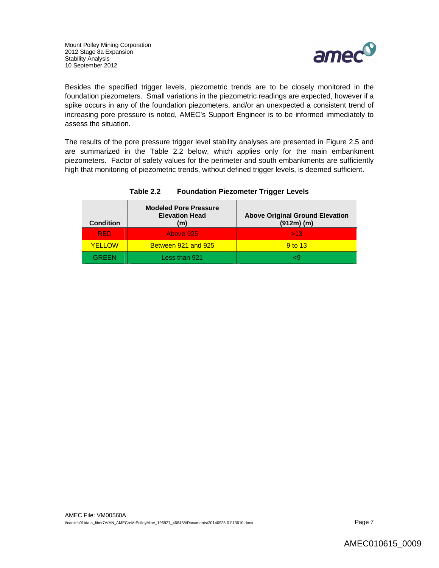

Besides the specified trigger levels, piezometric trends are to be closely monitored in the foundation piezometers. Small variations in the piezometric readings are expected, however if a spike occurs in any of the foundation piezometers, and/or an unexpected a consistent trend of increasing pore pressure is noted, AMEC's Support Engineer is to be informed immediately to assess the situation.

The results of the pore pressure trigger level stability analyses are presented in Figure 2.5 and are summarized in the Table 2.2 below, which applies only for the main embankment piezometers. Factor of safety values for the perimeter and south embankments are sufficiently high that monitoring of piezometric trends, without defined trigger levels, is deemed sufficient.

| <b>Condition</b> | <b>Modeled Pore Pressure</b><br><b>Elevation Head</b><br>(m) | <b>Above Original Ground Elevation</b><br>$(912m)$ (m) |
|------------------|--------------------------------------------------------------|--------------------------------------------------------|
| <b>RED</b>       | Above 925                                                    | >13                                                    |
| <b>YELLOW</b>    | Between 921 and 925                                          | 9 to 13                                                |
| GREEN            | Less than 921                                                |                                                        |

## **Table 2.2 Foundation Piezometer Trigger Levels**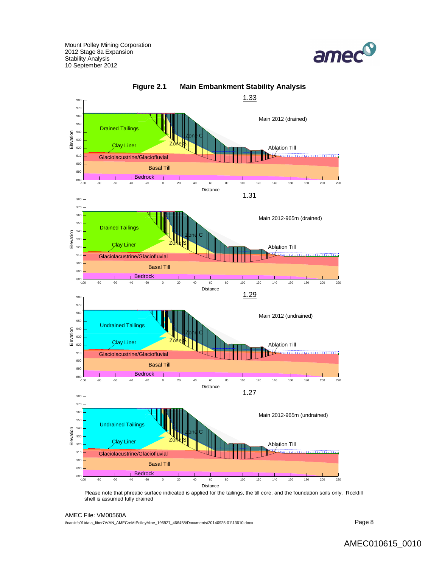





Please note that phreatic surface indicated is applied for the tailings, the till core, and the foundation soils only. Rockfill shell is assumed fully drained

#### AMEC File: VM00560A

\\canlitfs01\data\_fiber7\VAN\_AMECreMtPolleyMine\_196927\_466458\Documents\20140925-01\13610.docx Page 8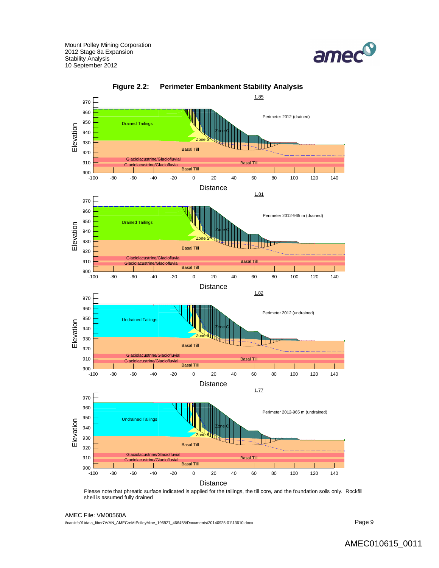





Please note that phreatic surface indicated is applied for the tailings, the till core, and the foundation soils only. Rockfill shell is assumed fully drained

AMEC File: VM00560A

\\canlitfs01\data\_fiber7\VAN\_AMECreMtPolleyMine\_196927\_466458\Documents\20140925-01\13610.docx Page 9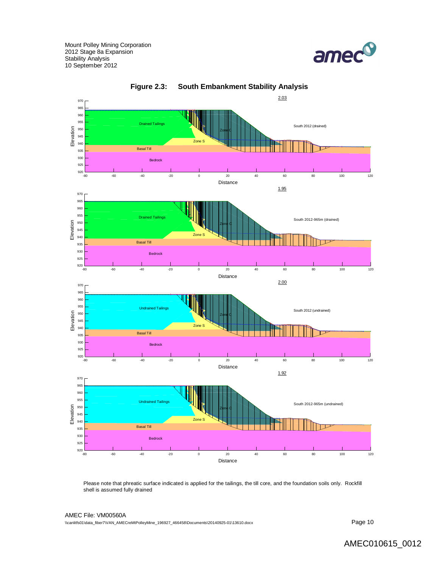



**Figure 2.3: South Embankment Stability Analysis**

Please note that phreatic surface indicated is applied for the tailings, the till core, and the foundation soils only. Rockfill shell is assumed fully drained

AMEC File: VM00560A  $\,\$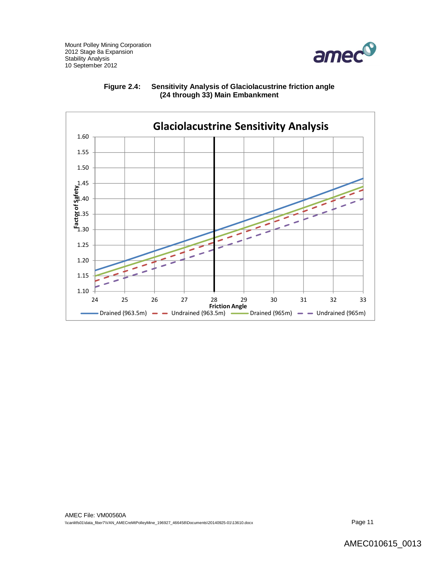

## **Figure 2.4: Sensitivity Analysis of Glaciolacustrine friction angle (24 through 33) Main Embankment**

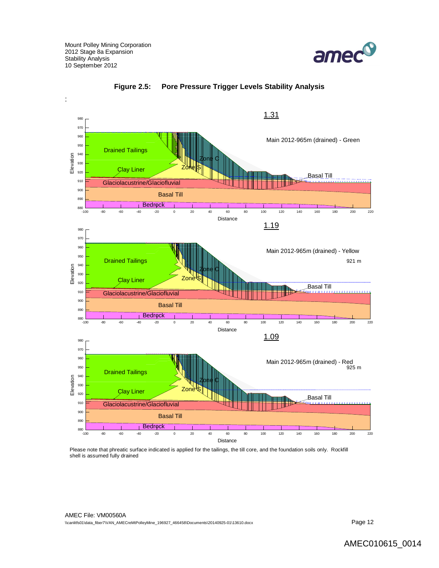





Please note that phreatic surface indicated is applied for the tailings, the till core, and the foundation soils only. Rockfill shell is assumed fully drained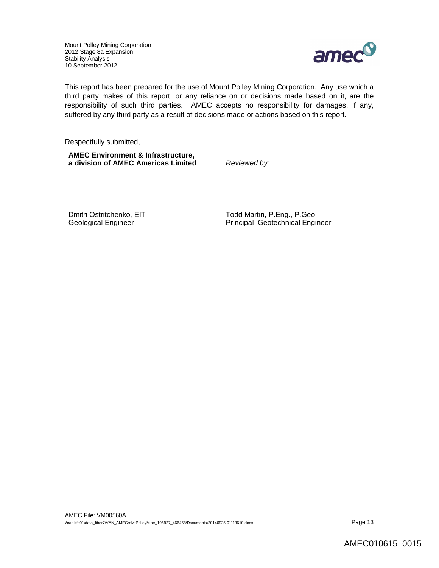

This report has been prepared for the use of Mount Polley Mining Corporation. Any use which a third party makes of this report, or any reliance on or decisions made based on it, are the responsibility of such third parties. AMEC accepts no responsibility for damages, if any, suffered by any third party as a result of decisions made or actions based on this report.

Respectfully submitted,

**AMEC Environment & Infrastructure, a division of AMEC Americas Limited** *Reviewed by:*

Dmitri Ostritchenko, EIT Todd Martin, P.Eng., P.Geo Geological Engineer **Principal Geotechnical Engineer**